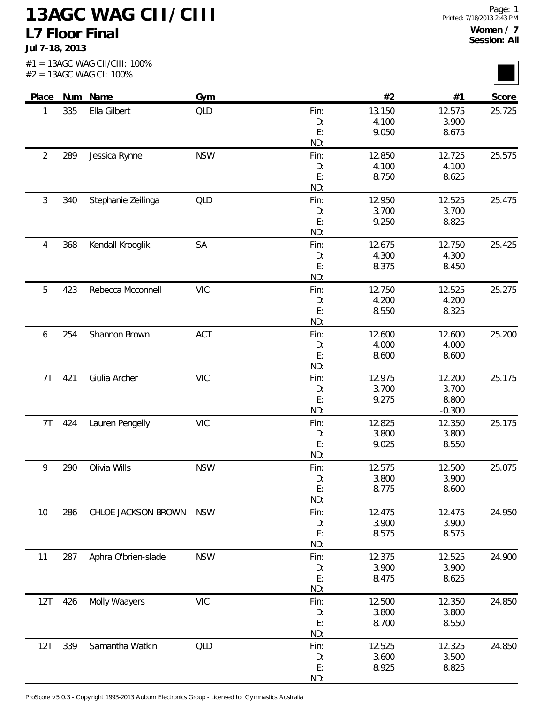**Jul 7-18, 2013**

<u>i ma</u>

|                |     | $#2 = 13AGC$ WAG CI: 100% |            |            |                 |                 |        |
|----------------|-----|---------------------------|------------|------------|-----------------|-----------------|--------|
| Place          |     | Num Name                  | Gym        |            | #2              | #1              | Score  |
| 1              | 335 | Ella Gilbert              | <b>QLD</b> | Fin:       | 13.150          | 12.575          | 25.725 |
|                |     |                           |            | D:         | 4.100           | 3.900           |        |
|                |     |                           |            | E:         | 9.050           | 8.675           |        |
|                |     |                           |            | ND:        |                 |                 |        |
| $\overline{2}$ | 289 | Jessica Rynne             | <b>NSW</b> | Fin:<br>D: | 12.850<br>4.100 | 12.725<br>4.100 | 25.575 |
|                |     |                           |            | E:         | 8.750           | 8.625           |        |
|                |     |                           |            | ND:        |                 |                 |        |
| 3              | 340 | Stephanie Zeilinga        | QLD        | Fin:       | 12.950          | 12.525          | 25.475 |
|                |     |                           |            | D:         | 3.700           | 3.700           |        |
|                |     |                           |            | E:         | 9.250           | 8.825           |        |
|                |     |                           |            | ND:        |                 |                 |        |
| 4              | 368 | Kendall Krooglik          | SA         | Fin:       | 12.675          | 12.750          | 25.425 |
|                |     |                           |            | D:         | 4.300           | 4.300           |        |
|                |     |                           |            | E:         | 8.375           | 8.450           |        |
|                |     |                           |            | ND:        |                 |                 |        |
| 5              | 423 | Rebecca Mcconnell         | <b>VIC</b> | Fin:       | 12.750          | 12.525          | 25.275 |
|                |     |                           |            | D:<br>E:   | 4.200<br>8.550  | 4.200           |        |
|                |     |                           |            | ND:        |                 | 8.325           |        |
| 6              | 254 | Shannon Brown             | ACT        | Fin:       | 12.600          | 12.600          | 25.200 |
|                |     |                           |            | D:         | 4.000           | 4.000           |        |
|                |     |                           |            | E:         | 8.600           | 8.600           |        |
|                |     |                           |            | ND:        |                 |                 |        |
| 7T             | 421 | Giulia Archer             | <b>VIC</b> | Fin:       | 12.975          | 12.200          | 25.175 |
|                |     |                           |            | D:         | 3.700           | 3.700           |        |
|                |     |                           |            | E:         | 9.275           | 8.800           |        |
|                |     |                           |            | ND:        |                 | $-0.300$        |        |
| 7T             | 424 | Lauren Pengelly           | <b>VIC</b> | Fin:       | 12.825          | 12.350          | 25.175 |
|                |     |                           |            | D:         | 3.800           | 3.800           |        |
|                |     |                           |            | E:         | 9.025           | 8.550           |        |
|                |     |                           |            | ND:        |                 |                 |        |
| 9              | 290 | Olivia Wills              | <b>NSW</b> | Fin:       | 12.575          | 12.500          | 25.075 |
|                |     |                           |            | D:<br>E:   | 3.800           | 3.900<br>8.600  |        |
|                |     |                           |            | ND:        | 8.775           |                 |        |
| 10             | 286 | CHLOE JACKSON-BROWN       | <b>NSW</b> | Fin:       | 12.475          | 12.475          | 24.950 |
|                |     |                           |            | D:         | 3.900           | 3.900           |        |
|                |     |                           |            | E:         | 8.575           | 8.575           |        |
|                |     |                           |            | ND:        |                 |                 |        |
| 11             | 287 | Aphra O'brien-slade       | <b>NSW</b> | Fin:       | 12.375          | 12.525          | 24.900 |
|                |     |                           |            | D:         | 3.900           | 3.900           |        |
|                |     |                           |            | E:         | 8.475           | 8.625           |        |
|                |     |                           |            | ND:        |                 |                 |        |
| 12T            | 426 | Molly Waayers             | <b>VIC</b> | Fin:       | 12.500          | 12.350          | 24.850 |
|                |     |                           |            | D:         | 3.800           | 3.800           |        |
|                |     |                           |            | E:         | 8.700           | 8.550           |        |
|                |     |                           |            | ND:        |                 |                 |        |
| 12T            | 339 | Samantha Watkin           | <b>QLD</b> | Fin:       | 12.525          | 12.325          | 24.850 |
|                |     |                           |            | D:         | 3.600           | 3.500           |        |
|                |     |                           |            | E:         | 8.925           | 8.825           |        |

ND:

ProScore v5.0.3 - Copyright 1993-2013 Auburn Electronics Group - Licensed to: Gymnastics Australia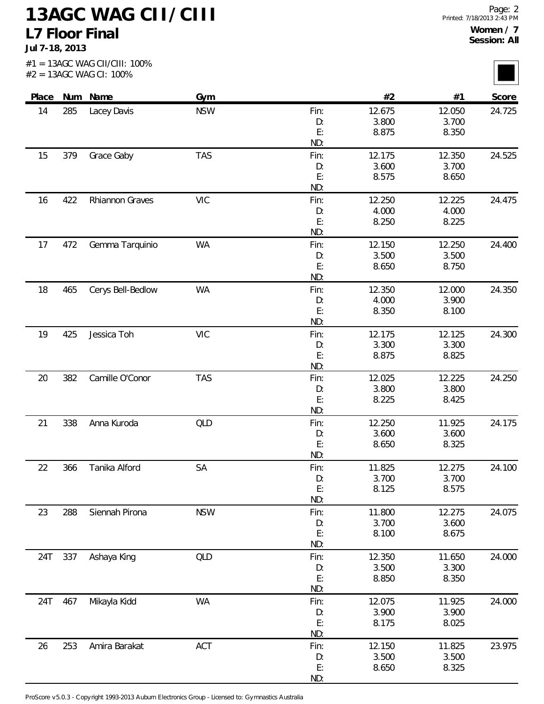**Jul 7-18, 2013**

l mar l

|       |     | #2 = 13AGC WAG CI: 100% |            |            |                |                 |        |
|-------|-----|-------------------------|------------|------------|----------------|-----------------|--------|
| Place |     | Num Name                | Gym        |            | #2             | #1              | Score  |
| 14    | 285 | Lacey Davis             | <b>NSW</b> | Fin:       | 12.675         | 12.050          | 24.725 |
|       |     |                         |            | D:         | 3.800          | 3.700           |        |
|       |     |                         |            | E:<br>ND:  | 8.875          | 8.350           |        |
| 15    | 379 | Grace Gaby              | <b>TAS</b> | Fin:       | 12.175         | 12.350          | 24.525 |
|       |     |                         |            | D:         | 3.600          | 3.700           |        |
|       |     |                         |            | E:         | 8.575          | 8.650           |        |
|       |     |                         |            | ND:        |                |                 |        |
| 16    | 422 | Rhiannon Graves         | <b>VIC</b> | Fin:       | 12.250         | 12.225          | 24.475 |
|       |     |                         |            | D:         | 4.000          | 4.000           |        |
|       |     |                         |            | E:         | 8.250          | 8.225           |        |
|       |     |                         |            | ND:        |                |                 |        |
| 17    | 472 | Gemma Tarquinio         | <b>WA</b>  | Fin:       | 12.150         | 12.250          | 24.400 |
|       |     |                         |            | D:<br>E:   | 3.500<br>8.650 | 3.500           |        |
|       |     |                         |            | ND:        |                | 8.750           |        |
| 18    | 465 | Cerys Bell-Bedlow       | <b>WA</b>  | Fin:       | 12.350         | 12.000          | 24.350 |
|       |     |                         |            | D:         | 4.000          | 3.900           |        |
|       |     |                         |            | E:         | 8.350          | 8.100           |        |
|       |     |                         |            | ND:        |                |                 |        |
| 19    | 425 | Jessica Toh             | <b>VIC</b> | Fin:       | 12.175         | 12.125          | 24.300 |
|       |     |                         |            | D:         | 3.300          | 3.300           |        |
|       |     |                         |            | E:         | 8.875          | 8.825           |        |
|       |     |                         |            | ND:        |                |                 |        |
| 20    | 382 | Camille O'Conor         | <b>TAS</b> | Fin:       | 12.025         | 12.225          | 24.250 |
|       |     |                         |            | D:         | 3.800          | 3.800           |        |
|       |     |                         |            | E:<br>ND:  | 8.225          | 8.425           |        |
|       |     |                         |            |            | 12.250         |                 |        |
| 21    | 338 | Anna Kuroda             | QLD        | Fin:<br>D: | 3.600          | 11.925<br>3.600 | 24.175 |
|       |     |                         |            | E:         | 8.650          | 8.325           |        |
|       |     |                         |            | ND:        |                |                 |        |
| 22    | 366 | Tanika Alford           | SA         | Fin:       | 11.825         | 12.275          | 24.100 |
|       |     |                         |            | D:         | 3.700          | 3.700           |        |
|       |     |                         |            | E:         | 8.125          | 8.575           |        |
|       |     |                         |            | ND:        |                |                 |        |
| 23    | 288 | Siennah Pirona          | <b>NSW</b> | Fin:       | 11.800         | 12.275          | 24.075 |
|       |     |                         |            | D:         | 3.700          | 3.600           |        |
|       |     |                         |            | E:         | 8.100          | 8.675           |        |
|       |     |                         |            | ND:        |                |                 |        |
| 24T   | 337 | Ashaya King             | <b>QLD</b> | Fin:       | 12.350         | 11.650          | 24.000 |
|       |     |                         |            | D:<br>E:   | 3.500<br>8.850 | 3.300<br>8.350  |        |
|       |     |                         |            | ND:        |                |                 |        |
| 24T   | 467 | Mikayla Kidd            | <b>WA</b>  | Fin:       | 12.075         | 11.925          | 24.000 |
|       |     |                         |            | D:         | 3.900          | 3.900           |        |
|       |     |                         |            | E:         | 8.175          | 8.025           |        |
|       |     |                         |            | ND:        |                |                 |        |
| 26    | 253 | Amira Barakat           | ACT        | Fin:       | 12.150         | 11.825          | 23.975 |
|       |     |                         |            | D:         | 3.500          | 3.500           |        |
|       |     |                         |            | E:         | 8.650          | 8.325           |        |

ND:

ProScore v5.0.3 - Copyright 1993-2013 Auburn Electronics Group - Licensed to: Gymnastics Australia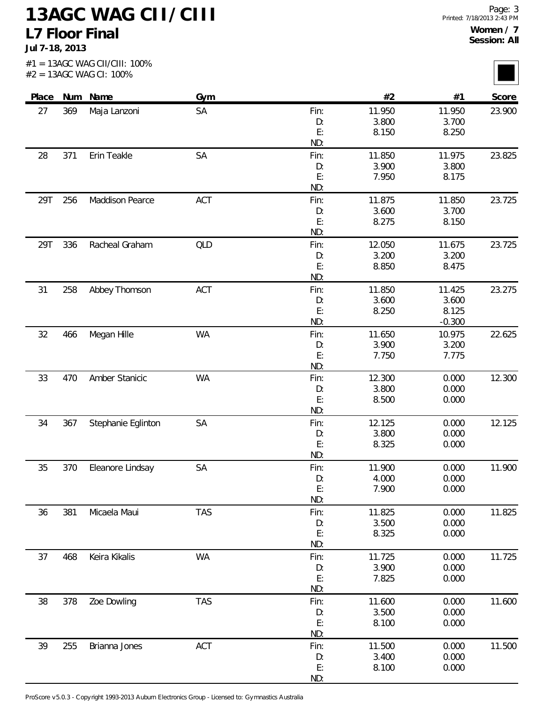**Jul 7-18, 2013**

l mar l

|       |     | $#2 = 13AGC$ WAG CI: 100% |            |            |                 |                 |        |
|-------|-----|---------------------------|------------|------------|-----------------|-----------------|--------|
| Place |     | Num Name                  | Gym        |            | #2              | #1              | Score  |
| 27    | 369 | Maja Lanzoni              | SA         | Fin:       | 11.950          | 11.950          | 23.900 |
|       |     |                           |            | D:         | 3.800           | 3.700           |        |
|       |     |                           |            | E:         | 8.150           | 8.250           |        |
|       |     |                           |            | ND:        |                 |                 |        |
| 28    | 371 | Erin Teakle               | SA         | Fin:<br>D: | 11.850<br>3.900 | 11.975<br>3.800 | 23.825 |
|       |     |                           |            | E:         | 7.950           | 8.175           |        |
|       |     |                           |            | ND:        |                 |                 |        |
| 29T   | 256 | Maddison Pearce           | ACT        | Fin:       | 11.875          | 11.850          | 23.725 |
|       |     |                           |            | D:         | 3.600           | 3.700           |        |
|       |     |                           |            | E:         | 8.275           | 8.150           |        |
|       |     |                           |            | ND:        |                 |                 |        |
| 29T   | 336 | Racheal Graham            | QLD        | Fin:       | 12.050          | 11.675          | 23.725 |
|       |     |                           |            | D:         | 3.200           | 3.200           |        |
|       |     |                           |            | E:         | 8.850           | 8.475           |        |
|       |     |                           |            | ND:        |                 |                 |        |
| 31    | 258 | Abbey Thomson             | ACT        | Fin:       | 11.850          | 11.425          | 23.275 |
|       |     |                           |            | D:<br>E:   | 3.600<br>8.250  | 3.600<br>8.125  |        |
|       |     |                           |            | ND:        |                 | $-0.300$        |        |
| 32    | 466 | Megan Hille               | <b>WA</b>  | Fin:       | 11.650          | 10.975          | 22.625 |
|       |     |                           |            | D:         | 3.900           | 3.200           |        |
|       |     |                           |            | E:         | 7.750           | 7.775           |        |
|       |     |                           |            | ND:        |                 |                 |        |
| 33    | 470 | Amber Stanicic            | <b>WA</b>  | Fin:       | 12.300          | 0.000           | 12.300 |
|       |     |                           |            | D:         | 3.800           | 0.000           |        |
|       |     |                           |            | E:         | 8.500           | 0.000           |        |
|       |     |                           |            | ND:        |                 |                 |        |
| 34    | 367 | Stephanie Eglinton        | SA         | Fin:       | 12.125          | 0.000           | 12.125 |
|       |     |                           |            | D:         | 3.800           | 0.000           |        |
|       |     |                           |            | E:         | 8.325           | 0.000           |        |
|       |     |                           |            | ND:        |                 |                 |        |
| 35    | 370 | Eleanore Lindsay          | SA         | Fin:       | 11.900          | 0.000           | 11.900 |
|       |     |                           |            | D:<br>E:   | 4.000<br>7.900  | 0.000<br>0.000  |        |
|       |     |                           |            | ND:        |                 |                 |        |
| 36    | 381 | Micaela Maui              | <b>TAS</b> | Fin:       | 11.825          | 0.000           | 11.825 |
|       |     |                           |            | D:         | 3.500           | 0.000           |        |
|       |     |                           |            | E:         | 8.325           | 0.000           |        |
|       |     |                           |            | ND:        |                 |                 |        |
| 37    | 468 | Keira Kikalis             | <b>WA</b>  | Fin:       | 11.725          | 0.000           | 11.725 |
|       |     |                           |            | D:         | 3.900           | 0.000           |        |
|       |     |                           |            | E:         | 7.825           | 0.000           |        |
|       |     |                           |            | ND:        |                 |                 |        |
| 38    | 378 | Zoe Dowling               | <b>TAS</b> | Fin:       | 11.600          | 0.000           | 11.600 |
|       |     |                           |            | D:         | 3.500           | 0.000           |        |
|       |     |                           |            | E:         | 8.100           | 0.000           |        |
|       |     |                           |            | ND:        |                 |                 |        |
| 39    | 255 | Brianna Jones             | ACT        | Fin:       | 11.500          | 0.000           | 11.500 |
|       |     |                           |            | D:<br>E:   | 3.400<br>8.100  | 0.000<br>0.000  |        |
|       |     |                           |            |            |                 |                 |        |

ND:

ProScore v5.0.3 - Copyright 1993-2013 Auburn Electronics Group - Licensed to: Gymnastics Australia